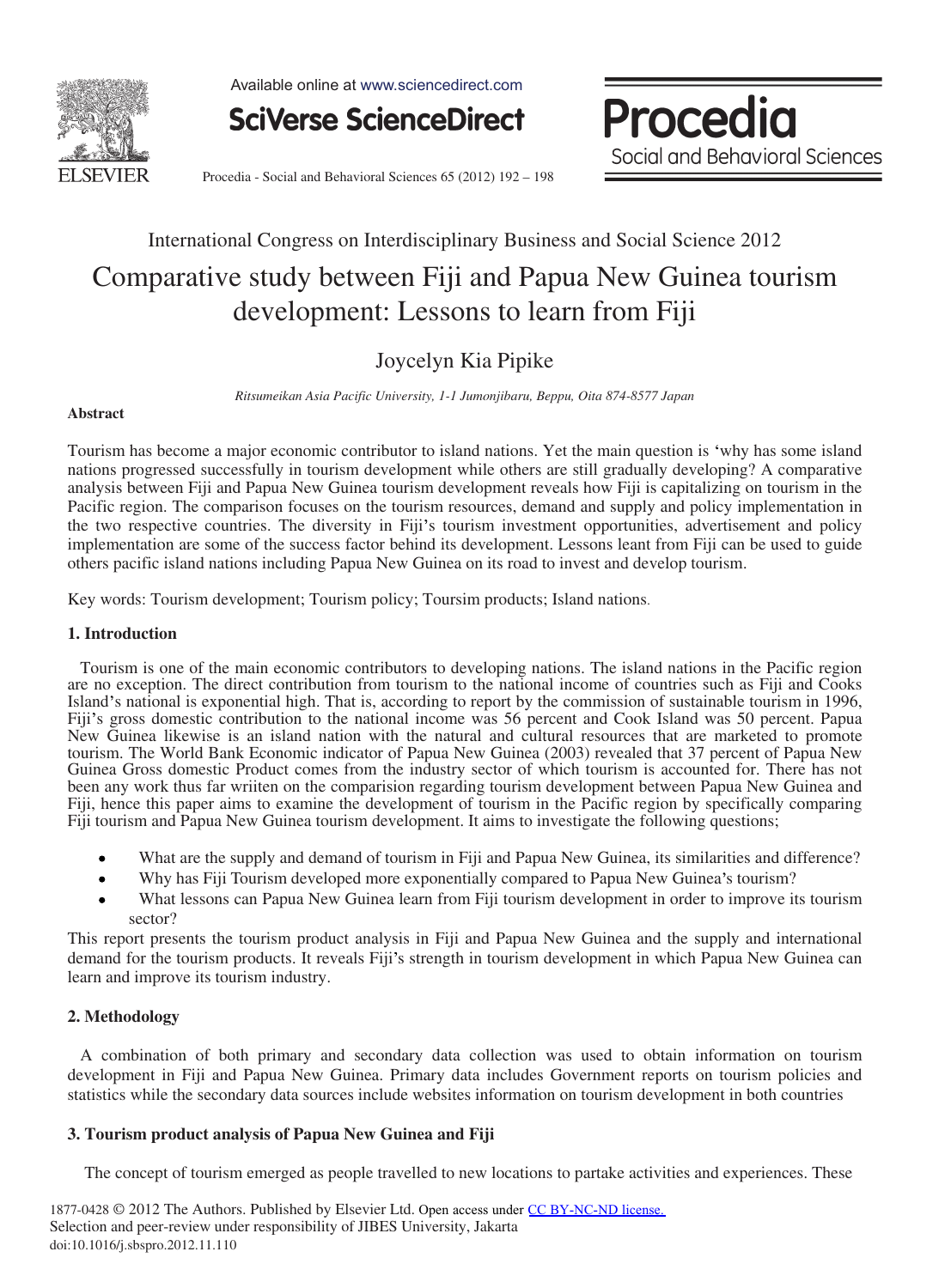

Available online at www.sciencedirect.com



Procedia Social and Behavioral Sciences

Procedia - Social and Behavioral Sciences 65 (2012) 192 - 198

# International Congress on Interdisciplinary Business and Social Science 2012

## Comparative study between Fiji and Papua New Guinea tourism development: Lessons to learn from Fiji

### Joycelyn Kia Pipike

*Ritsumeikan Asia Pacific University, 1-1 Jumonjibaru, Beppu, Oita 874-8577 Japan*

#### **Abstract**

Tourism has become a major economic contributor to island nations. Yet the main question is 'why has some island nations progressed successfully in tourism development while others are still gradually developing? A comparative analysis between Fiji and Papua New Guinea tourism development reveals how Fiji is capitalizing on tourism in the Pacific region. The comparison focuses on the tourism resources, demand and supply and policy implementation in the two respective countries. The diversity in Fiji's tourism investment opportunities, advertisement and policy implementation are some of the success factor behind its development. Lessons leant from Fiji can be used to guide others pacific island nations including Papua New Guinea on its road to invest and develop tourism.

Key words: Tourism development; Tourism policy; Toursim products; Island nations.

#### **1. Introduction**

 Tourism is one of the main economic contributors to developing nations. The island nations in the Pacific region are no exception. The direct contribution from tourism to the national income of countries such as Fiji and Cooks Island's national is exponential high. That is, according to report by the commission of sustainable tourism in 1996, Fiji's gross domestic contribution to the national income was 56 percent and Cook Island was 50 percent. Papua New Guinea likewise is an island nation with the natural and cultural resources that are marketed to promote tourism. The World Bank Economic indicator of Papua New Guinea (2003) revealed that 37 percent of Papua New Guinea Gross domestic Product comes from the industry sector of which tourism is accounted for. There has not been any work thus far wriiten on the comparision regarding tourism development between Papua New Guinea and Fiji, hence this paper aims to examine the development of tourism in the Pacific region by specifically comparing Fiji tourism and Papua New Guinea tourism development. It aims to investigate the following questions;

- What are the supply and demand of tourism in Fiji and Papua New Guinea, its similarities and difference?
- Why has Fiji Tourism developed more exponentially compared to Papua New Guinea's tourism?
- What lessons can Papua New Guinea learn from Fiji tourism development in order to improve its tourism sector?

This report presents the tourism product analysis in Fiji and Papua New Guinea and the supply and international demand for the tourism products. It reveals Fiji's strength in tourism development in which Papua New Guinea can learn and improve its tourism industry.

#### **2. Methodology**

 A combination of both primary and secondary data collection was used to obtain information on tourism development in Fiji and Papua New Guinea. Primary data includes Government reports on tourism policies and statistics while the secondary data sources include websites information on tourism development in both countries

#### **3. Tourism product analysis of Papua New Guinea and Fiji**

The concept of tourism emerged as people travelled to new locations to partake activities and experiences. These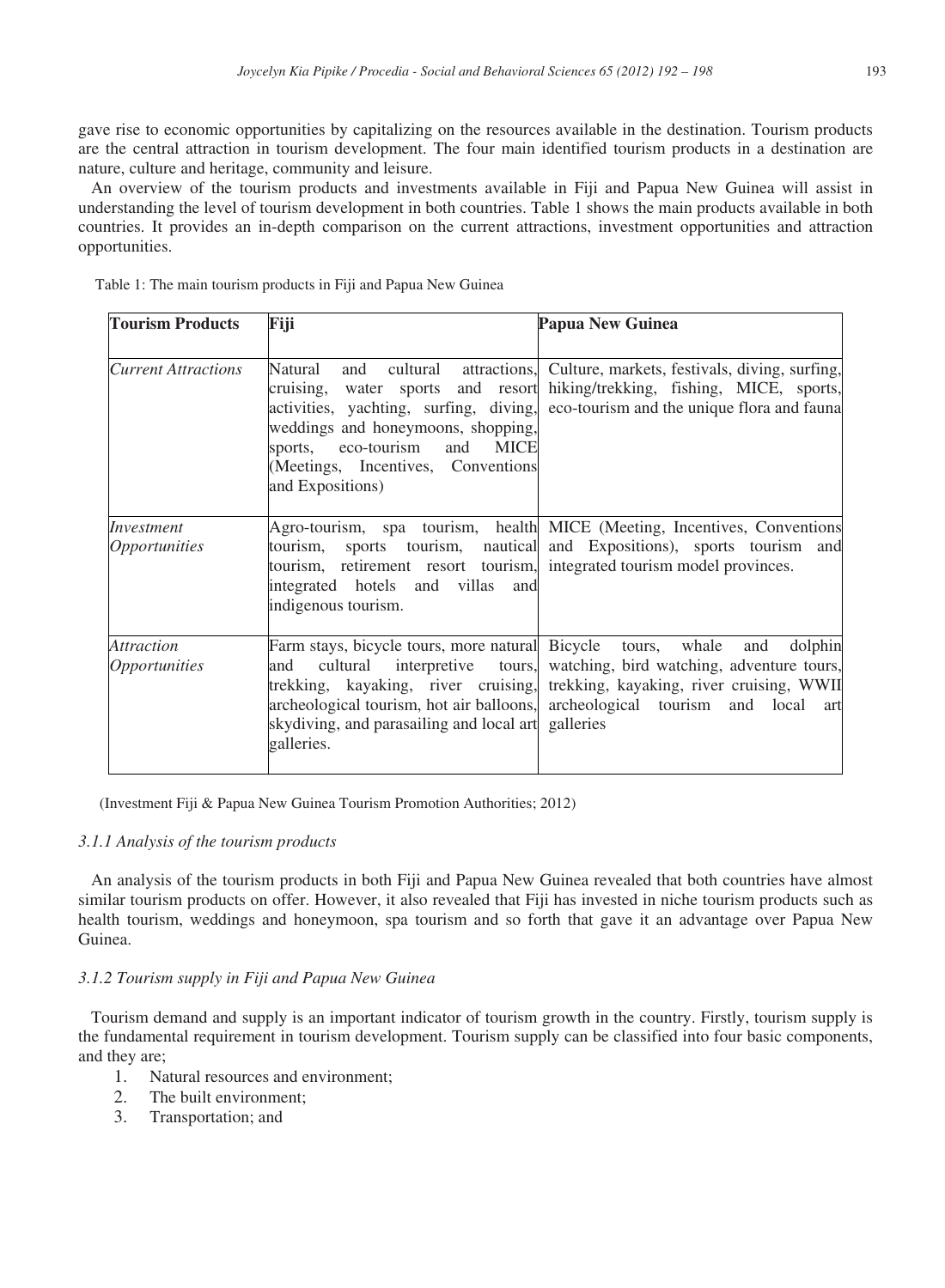gave rise to economic opportunities by capitalizing on the resources available in the destination. Tourism products are the central attraction in tourism development. The four main identified tourism products in a destination are nature, culture and heritage, community and leisure.

 An overview of the tourism products and investments available in Fiji and Papua New Guinea will assist in understanding the level of tourism development in both countries. Table 1 shows the main products available in both countries. It provides an in-depth comparison on the current attractions, investment opportunities and attraction opportunities.

| Table 1: The main tourism products in Fiji and Papua New Guinea |  |  |  |  |  |  |
|-----------------------------------------------------------------|--|--|--|--|--|--|
|-----------------------------------------------------------------|--|--|--|--|--|--|

| <b>Tourism Products</b>                          | Fiji                                                                                                                                                                         | <b>Papua New Guinea</b>                                                                                                                                                                                                                               |
|--------------------------------------------------|------------------------------------------------------------------------------------------------------------------------------------------------------------------------------|-------------------------------------------------------------------------------------------------------------------------------------------------------------------------------------------------------------------------------------------------------|
| <b>Current Attractions</b>                       | Natural<br>cruising, water sports and resort<br>weddings and honeymoons, shopping,<br>sports, eco-tourism and MICE<br>(Meetings, Incentives, Conventions<br>and Expositions) | and cultural attractions, Culture, markets, festivals, diving, surfing,<br>hiking/trekking, fishing, MICE, sports,<br>activities, yachting, surfing, diving, eco-tourism and the unique flora and fauna                                               |
| Investment<br><i><b>Opportunities</b></i>        | tourism, retirement resort tourism, integrated tourism model provinces.<br>integrated hotels and villas and<br>indigenous tourism.                                           | Agro-tourism, spa tourism, health MICE (Meeting, Incentives, Conventions<br>tourism, sports tourism, nautical and Expositions), sports tourism and                                                                                                    |
| <i>Attraction</i><br><i><b>Opportunities</b></i> | Farm stays, bicycle tours, more natural Bicycle tours, whale<br>and<br>skydiving, and parasailing and local art galleries<br>galleries.                                      | and dolphin<br>cultural interpretive tours, watching, bird watching, adventure tours,<br>trekking, kayaking, river cruising, trekking, kayaking, river cruising, WWII<br>archeological tourism, hot air balloons, archeological tourism and local art |

(Investment Fiji & Papua New Guinea Tourism Promotion Authorities; 2012)

#### *3.1.1 Analysis of the tourism products*

 An analysis of the tourism products in both Fiji and Papua New Guinea revealed that both countries have almost similar tourism products on offer. However, it also revealed that Fiji has invested in niche tourism products such as health tourism, weddings and honeymoon, spa tourism and so forth that gave it an advantage over Papua New Guinea.

#### *3.1.2 Tourism supply in Fiji and Papua New Guinea*

 Tourism demand and supply is an important indicator of tourism growth in the country. Firstly, tourism supply is the fundamental requirement in tourism development. Tourism supply can be classified into four basic components, and they are;

- 1. Natural resources and environment;
- 2. The built environment;
- 3. Transportation; and